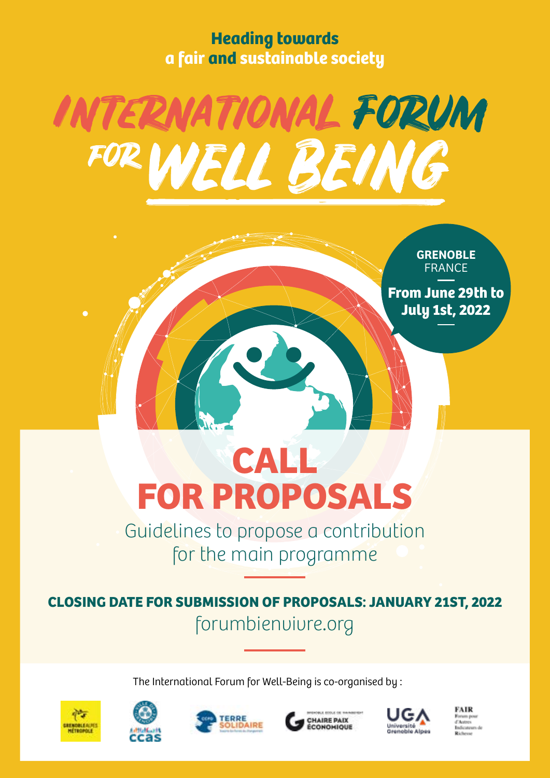**Heading towards a fair and sustainable society**



**GRENOBLE** FRANCE

**From June 29th to July 1st, 2022**

# **CALL FOR PROPOSALS**

Guidelines to propose a contribution for the main programme

**CLOSING DATE FOR SUBMISSION OF PROPOSALS: JANUARY 21ST, 2022** forumbienvivre.org

The International Forum for Well-Being is co-organised by :









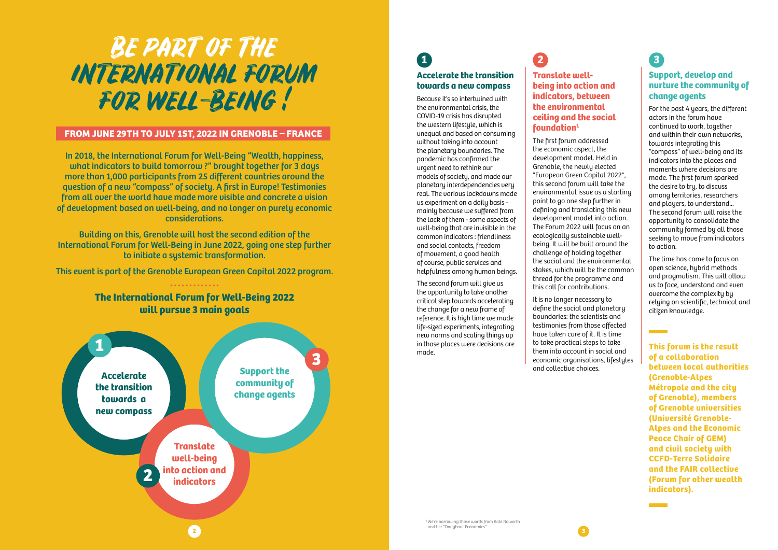# BE PART OF THE INTERNATIONAL FORUM FOR WELL-BEING !

# **1 Accelerate the transition towards a new compass**

Because it's so intertwined with the environmental crisis, the COVID-19 crisis has disrupted the western lifestyle, which is unequal and based on consuming without taking into account the planetary boundaries. The pandemic has confirmed the urgent need to rethink our models of society, and made our planetary interdependencies very real. The various lockdowns made us experiment on a daily basis mainly because we suffered from the lack of them - some aspects of well-being that are invisible in the common indicators : friendliness and social contacts, freedom of movement, a good health of course, public services and helpfulness among human beings.

The second forum will give us the opportunity to take another critical step towards accelerating the change for a new frame of reference. It is high time we made life-sized experiments, integrating new norms and scaling things up in those places were decisions are made.

**2**

# **Translate wellbeing into action and indicators, between the environmental ceiling and the social foundation1**

The first forum addressed the economic aspect, the development model. Held in Grenoble, the newly elected "European Green Capital 2022", this second forum will take the environmental issue as a starting point to go one step further in defining and translating this new development model into action. The Forum 2022 will focus on an ecologically sustainable wellbeing. It will be built around the challenge of holding together the social and the environmental stakes, which will be the common thread for the programme and this call for contributions.

This event is part of the Grenoble European Green Capital 2022 program. **\*\*\*\*\*\*\*\*\*\*\*\*\*** 

> It is no longer necessary to define the social and planetary boundaries: the scientists and testimonies from those affected have taken care of it. It is time to take practical steps to take them into account in social and economic organisations, lifestyles and collective choices.

**3**

# **Support, develop and nurture the community of change agents**

For the past 4 years, the different actors in the forum have continued to work, together and within their own networks, towards integrating this "compass" of well-being and its indicators into the places and moments where decisions are made. The first forum sparked the desire to try, to discuss among territories, researchers and players, to understand... The second forum will raise the opportunity to consolidate the community formed by all those seeking to move from indicators to action.

The time has come to focus on open science, hybrid methods and pragmatism. This will allow us to face, understand and even overcome the complexity by relying on scientific, technical and citizen knowledge.

In 2018, the International Forum for Well-Being "Wealth, happiness, what indicators to build tomorrow ?" brought together for 3 days more than 1,000 participants from 25 different countries around the question of a new "compass" of society. A first in Europe! Testimonies from all over the world have made more visible and concrete a vision of development based on well-being, and no longer on purely economic considerations.

Building on this, Grenoble will host the second edition of the International Forum for Well-Being in June 2022, going one step further to initiate a systemic transformation.



**This forum is the result of a collaboration between local authorities (Grenoble-Alpes Métropole and the city of Grenoble), members of Grenoble universities (Université Grenoble-Alpes and the Economic Peace Chair of GEM) and civil society with CCFD-Terre Solidaire and the FAIR collective (Forum for other wealth indicators).**

# **FROM JUNE 29TH TO JULY 1ST, 2022 IN GRENOBLE – FRANCE**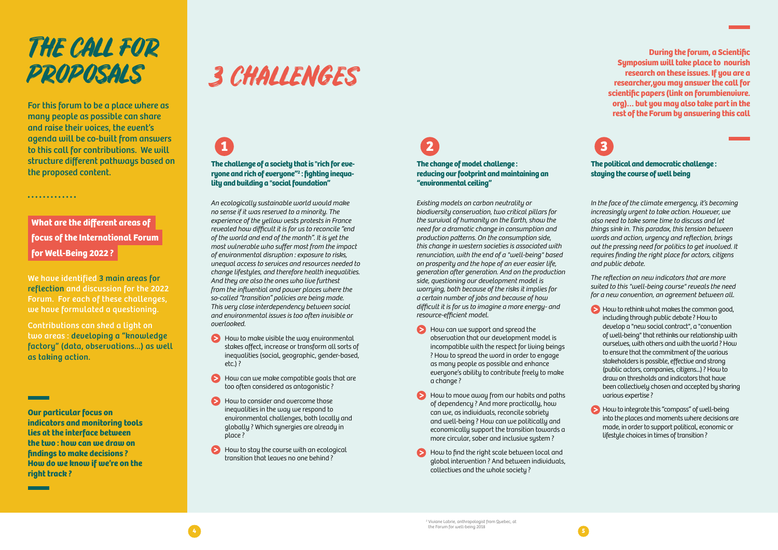For this forum to be a place where as many people as possible can share and raise their voices, the event's agenda will be co-built from answers to this call for contributions. We will structure different pathways based on the proposed content.

# THE CALL FOR

# PROPOSALS 3 CHALLENGES

We have identified 3 main areas for reflection and discussion for the 2022 Forum. For each of these challenges, we have formulated a questioning.

Contributions can shed a light on two areas : developing a "knowledge factory" (data, observations...) as well as taking action.

- $\blacktriangleright$  How to make visible the way environmental stakes affect, increase or transform all sorts of inequalities (social, geographic, gender-based, etc.) ?
- How can we make compatible goals that are too often considered as antagonistic ?
- How to consider and overcome those inequalities in the way we respond to environmental challenges, both locally and globally ? Which synergies are already in place ?
- How to stay the course with an ecological transition that leaves no one behind ?

*An ecologically sustainable world would make no sense if it was reserved to a minority. The experience of the yellow vests protests in France revealed how difficult it is for us to reconcile "end of the world and end of the month". It is yet the most vulnerable who suffer most from the impact of environmental disruption : exposure to risks, unequal access to services and resources needed to change lifestyles, and therefore health inequalities. And they are also the ones who live furthest from the influential and power places where the so-called "transition" policies are being made. This very close interdependency between social and environmental issues is too often invisible or overlooked.*

# **1 The challenge of a society that is "rich for everyone and rich of everyone"2 : fighting inequality and building a "social foundation"**

- $\blacktriangleright$  How can we support and spread the observation that our development model is incompatible with the respect for living beings ? How to spread the word in order to engage as many people as possible and enhance everyone's ability to contribute freely to make a change ?
- $\blacktriangleright$  How to move away from our habits and paths of dependency ? And more practically, how can we, as individuals, reconcile sobriety and well-being ? How can we politically and economically support the transition towards a more circular, sober and inclusive system ?
- $\blacktriangleright$  How to find the right scale between local and global intervention ? And between individuals, collectives and the whole society ?

**Our particular focus on indicators and monitoring tools lies at the interface between the two : how can we draw on findings to make decisions ? How do we know if we're on the right track ?**

 $\blacktriangleright$  How to rethink what makes the common good, including through public debate ? How to develop a "new social contract", a "convention of well-being" that rethinks our relationship with ourselves, with others and with the world ? How to ensure that the commitment of the various stakeholders is possible, effective and strong (public actors, companies, citizens...) ? How to draw on thresholds and indicators that have been collectively chosen and accepted by sharing various expertise ?

*Existing models on carbon neutrality or biodiversity conservation, two critical pillars for the survival of humanity on the Earth, show the need for a dramatic change in consumption and production patterns. On the consumption side, this change in western societies is associated with renunciation, with the end of a "well-being" based on prosperity and the hope of an ever easier life, generation after generation. And on the production side, questioning our development model is worrying, both because of the risks it implies for a certain number of jobs and because of how difficult it is for us to imagine a more energy- and resource-efficient model.*



# **What are the different areas of focus of the International Forum for Well-Being 2022 ?**

.............

# **2 The change of model challenge : reducing our footprint and maintaining an "environmental ceiling"**

*In the face of the climate emergency, it's becoming increasingly urgent to take action. However, we also need to take some time to discuss and let things sink in. This paradox, this tension between words and action, urgency and reflection, brings out the pressing need for politics to get involved. It requires finding the right place for actors, citizens and public debate.*

*The reflection on new indicators that are more suited to this "well-being course" reveals the need for a new convention, an agreement between all.* 

 How to integrate this "compass" of well-being into the places and moments where decisions are made, in order to support political, economic or lifestyle choices in times of transition ?

**3**

**The political and democratic challenge : staying the course of well being** 

**During the forum, a Scientific Symposium will take place to nourish research on these issues. If you are a researcher,you may answer the call for scientific papers (link on forumbienvivre. org)… but you may also take part in the rest of the Forum by answering this call**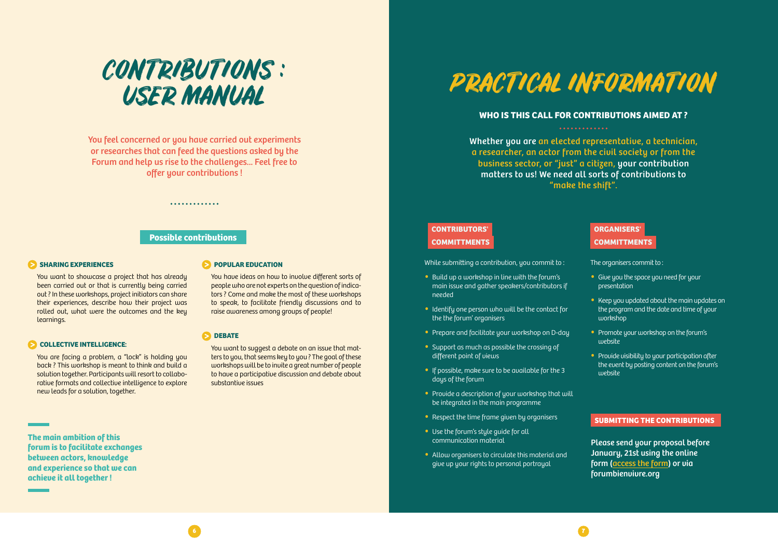You want to showcase a project that has already been carried out or that is currently being carried out ? In these workshops, project initiators can share their experiences, describe how their project was rolled out, what were the outcomes and the key learnings.

# **COLLECTIVE INTELLIGENCE:**

### 6 **DEBATE**

You are facing a problem, a "lock" is holding you back ? This workshop is meant to think and build a solution together. Participants will resort to collaborative formats and collective intelligence to explore new leads for a solution, together.

You have ideas on how to involve different sorts of people who are not experts on the question of indicators ? Come and make the most of these workshops to speak, to facilitate friendly discussions and to raise awareness among groups of people!

You want to suggest a debate on an issue that matters to you, that seems key to you ? The goal of these workshops will be to invite a great number of people to have a participative discussion and debate about substantive issues



You feel concerned or you have carried out experiments or researches that can feed the questions asked by the Forum and help us rise to the challenges... Feel free to offer your contributions !

**The main ambition of this forum is to facilitate exchanges between actors, knowledge and experience so that we can achieve it all together !**

# **POPULAR EDUCATION**

**Possible contributions**

. . . . . . . . . . . . .

# **SHARING EXPERIENCES**

# **CONTRIBUTORS' COMMITTMENTS**

While submitting a contribution, you commit to:

- Build up a workshop in line with the forum's main issue and gather speakers/contributors if needed
- Identify one person who will be the contact for the the forum' organisers
- Prepare and facilitate your workshop on D-day
- Support as much as possible the crossing of different point of views
- If possible, make sure to be available for the 3 days of the forum
- Provide a description of your workshop that will be integrated in the main programme
- Respect the time frame given by organisers
- Use the forum's style guide for all communication material
- Allow organisers to circulate this material and give up your rights to personal portrayal



The organisers commit to :

- Give you the space you need for your presentation
- Keep you updated about the main updates on the program and the date and time of your workshop
- **•** Promote your workshop on the forum's website
- **•** Provide visibility to your participation after the event by posting content on the forum's website

Please send your proposal before January, 21st using the online form [\(acc](https://framaforms.org/international-forum-for-well-being-2022-call-for-proposals-1637681967)ess the form) or via forumbienvivre.org

# **SUBMITTING THE CONTRIBUTIONS**



# **WHO IS THIS CALL FOR CONTRIBUTIONS AIMED AT ?**

Whether you are an elected representative, a technician, a researcher, an actor from the civil society or from the business sector, or "just" a citizen, your contribution matters to us! We need all sorts of contributions to "make the shift".